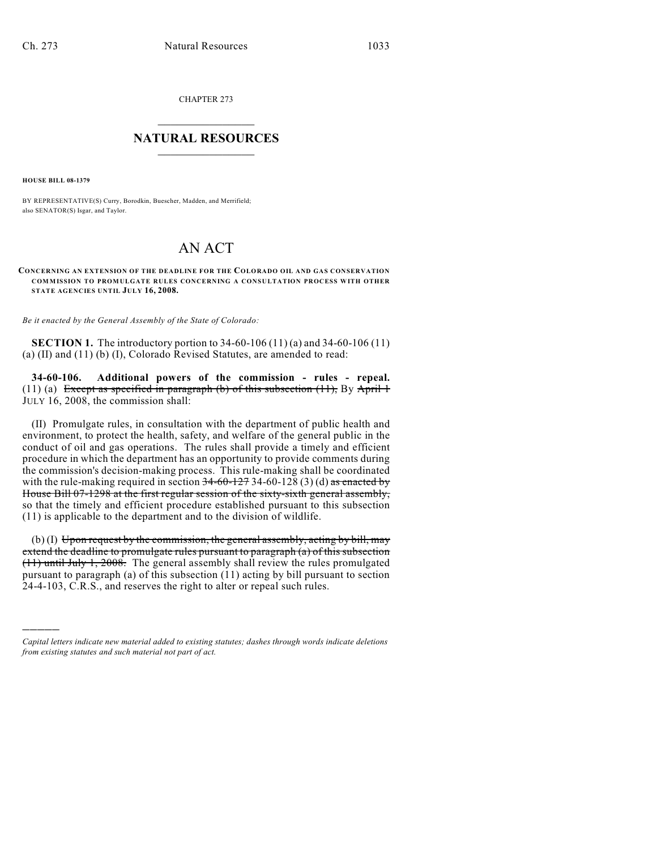CHAPTER 273

## $\mathcal{L}_\text{max}$  . The set of the set of the set of the set of the set of the set of the set of the set of the set of the set of the set of the set of the set of the set of the set of the set of the set of the set of the set **NATURAL RESOURCES**  $\frac{1}{\sqrt{2}}$  ,  $\frac{1}{\sqrt{2}}$  ,  $\frac{1}{\sqrt{2}}$  ,  $\frac{1}{\sqrt{2}}$  ,  $\frac{1}{\sqrt{2}}$  ,  $\frac{1}{\sqrt{2}}$

**HOUSE BILL 08-1379**

)))))

BY REPRESENTATIVE(S) Curry, Borodkin, Buescher, Madden, and Merrifield; also SENATOR(S) Isgar, and Taylor.

## AN ACT

**CONCERNING AN EXTENSION OF THE DEADLINE FOR THE COLORADO OIL AND GAS CONSERVATION COMMISSION TO PROMULGATE RULES CONCERNING A CONSULTATION PROCESS WITH OTHER STATE AGENCIES UNTIL JULY 16, 2008.**

*Be it enacted by the General Assembly of the State of Colorado:*

**SECTION 1.** The introductory portion to 34-60-106 (11) (a) and 34-60-106 (11) (a) (II) and (11) (b) (I), Colorado Revised Statutes, are amended to read:

**34-60-106. Additional powers of the commission - rules - repeal.** (11) (a) Except as specified in paragraph (b) of this subsection  $(11)$ , By April 1 JULY 16, 2008, the commission shall:

(II) Promulgate rules, in consultation with the department of public health and environment, to protect the health, safety, and welfare of the general public in the conduct of oil and gas operations. The rules shall provide a timely and efficient procedure in which the department has an opportunity to provide comments during the commission's decision-making process. This rule-making shall be coordinated with the rule-making required in section  $34-60-1273-4-60-128(3)(d)$  as enacted by House Bill 07-1298 at the first regular session of the sixty-sixth general assembly, so that the timely and efficient procedure established pursuant to this subsection (11) is applicable to the department and to the division of wildlife.

 $(b)$  (I) Upon request by the commission, the general assembly, acting by bill, may extend the deadline to promulgate rules pursuant to paragraph (a) of this subsection (11) until July 1, 2008. The general assembly shall review the rules promulgated pursuant to paragraph (a) of this subsection (11) acting by bill pursuant to section 24-4-103, C.R.S., and reserves the right to alter or repeal such rules.

*Capital letters indicate new material added to existing statutes; dashes through words indicate deletions from existing statutes and such material not part of act.*